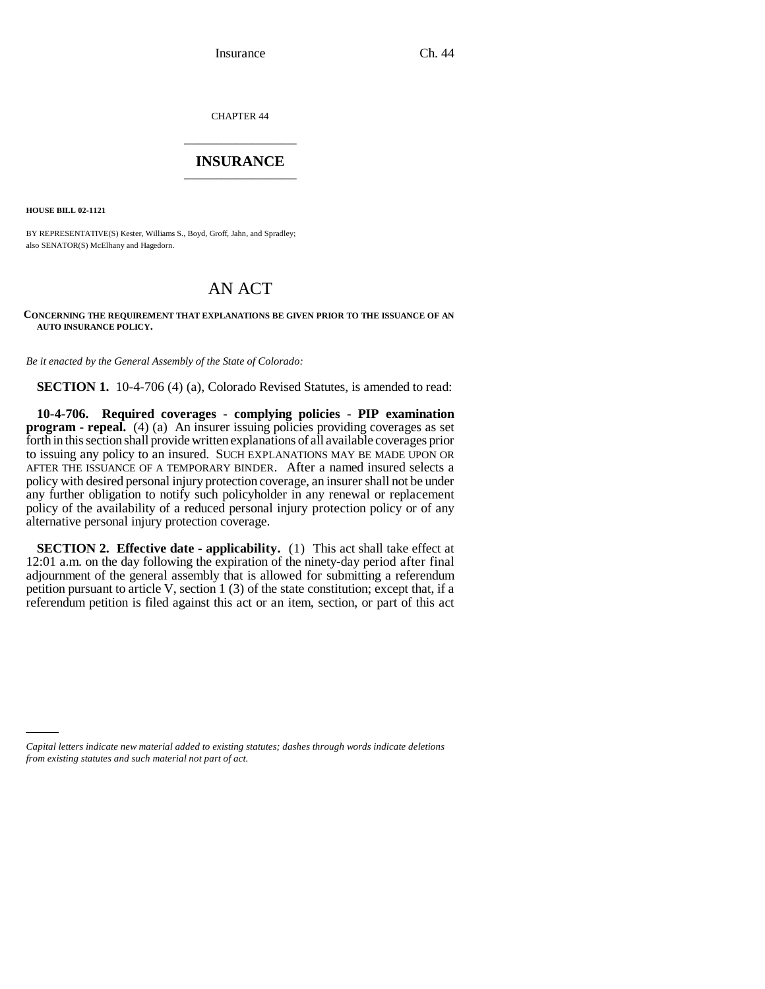CHAPTER 44 \_\_\_\_\_\_\_\_\_\_\_\_\_\_\_

### **INSURANCE** \_\_\_\_\_\_\_\_\_\_\_\_\_\_\_

**HOUSE BILL 02-1121**

BY REPRESENTATIVE(S) Kester, Williams S., Boyd, Groff, Jahn, and Spradley; also SENATOR(S) McElhany and Hagedorn.

# AN ACT

#### **CONCERNING THE REQUIREMENT THAT EXPLANATIONS BE GIVEN PRIOR TO THE ISSUANCE OF AN AUTO INSURANCE POLICY.**

*Be it enacted by the General Assembly of the State of Colorado:*

**SECTION 1.** 10-4-706 (4) (a), Colorado Revised Statutes, is amended to read:

**10-4-706. Required coverages - complying policies - PIP examination program - repeal.** (4) (a) An insurer issuing policies providing coverages as set forth in this section shall provide written explanations of all available coverages prior to issuing any policy to an insured. SUCH EXPLANATIONS MAY BE MADE UPON OR AFTER THE ISSUANCE OF A TEMPORARY BINDER. After a named insured selects a policy with desired personal injury protection coverage, an insurer shall not be under any further obligation to notify such policyholder in any renewal or replacement policy of the availability of a reduced personal injury protection policy or of any alternative personal injury protection coverage.

**SECTION 2. Effective date - applicability.** (1) This act shall take effect at 12:01 a.m. on the day following the expiration of the ninety-day period after final adjournment of the general assembly that is allowed for submitting a referendum petition pursuant to article V, section 1 (3) of the state constitution; except that, if a referendum petition is filed against this act or an item, section, or part of this act

*Capital letters indicate new material added to existing statutes; dashes through words indicate deletions from existing statutes and such material not part of act.*